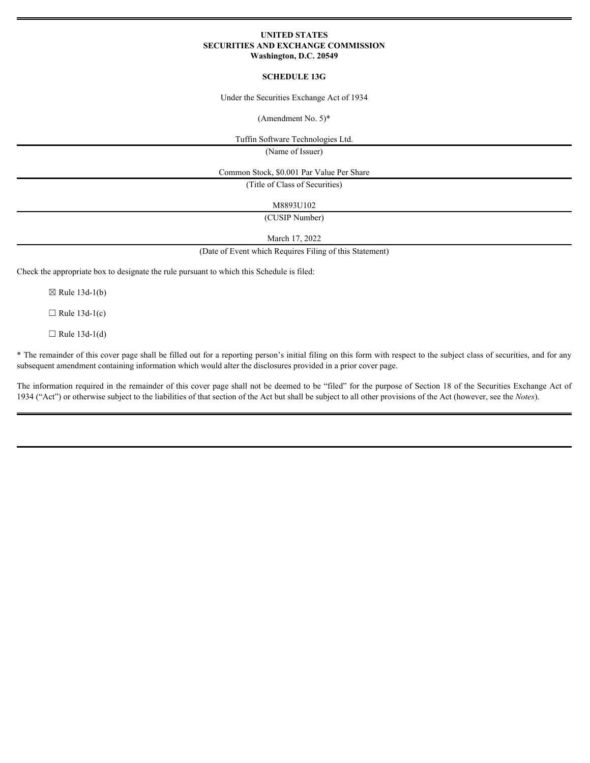## **UNITED STATES SECURITIES AND EXCHANGE COMMISSION Washington, D.C. 20549**

## **SCHEDULE 13G**

Under the Securities Exchange Act of 1934

(Amendment No. 5)\*

Tuffin Software Technologies Ltd.

(Name of Issuer)

Common Stock, \$0.001 Par Value Per Share

(Title of Class of Securities)

M8893U102

(CUSIP Number)

March 17, 2022

(Date of Event which Requires Filing of this Statement)

Check the appropriate box to designate the rule pursuant to which this Schedule is filed:

 $\boxtimes$  Rule 13d-1(b)

 $\Box$  Rule 13d-1(c)

 $\Box$  Rule 13d-1(d)

\* The remainder of this cover page shall be filled out for a reporting person's initial filing on this form with respect to the subject class of securities, and for any subsequent amendment containing information which would alter the disclosures provided in a prior cover page.

The information required in the remainder of this cover page shall not be deemed to be "filed" for the purpose of Section 18 of the Securities Exchange Act of 1934 ("Act") or otherwise subject to the liabilities of that section of the Act but shall be subject to all other provisions of the Act (however, see the *Notes*).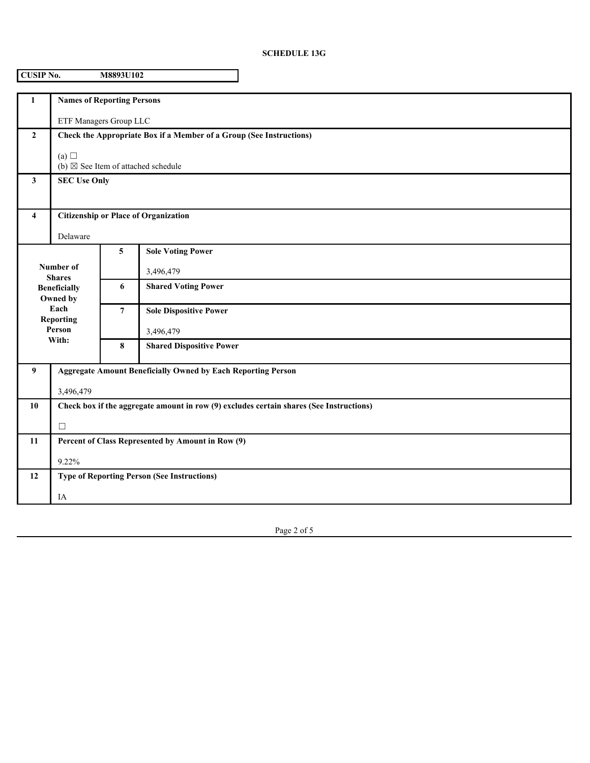## **SCHEDULE 13G**

| <b>CUSIP No.</b><br>M8893U102                                                                                |                                                                                         |                |                                               |  |  |
|--------------------------------------------------------------------------------------------------------------|-----------------------------------------------------------------------------------------|----------------|-----------------------------------------------|--|--|
| $\mathbf{1}$                                                                                                 | <b>Names of Reporting Persons</b>                                                       |                |                                               |  |  |
| ETF Managers Group LLC                                                                                       |                                                                                         |                |                                               |  |  |
| $\overline{2}$                                                                                               | Check the Appropriate Box if a Member of a Group (See Instructions)                     |                |                                               |  |  |
| (a) $\Box$                                                                                                   |                                                                                         |                | (b) $\boxtimes$ See Item of attached schedule |  |  |
| $\mathbf{3}$                                                                                                 | <b>SEC Use Only</b>                                                                     |                |                                               |  |  |
| 4                                                                                                            | <b>Citizenship or Place of Organization</b>                                             |                |                                               |  |  |
|                                                                                                              | Delaware                                                                                |                |                                               |  |  |
| Number of<br><b>Shares</b><br><b>Beneficially</b><br>Owned by<br>Each<br><b>Reporting</b><br>Person<br>With: |                                                                                         | 5              | <b>Sole Voting Power</b>                      |  |  |
|                                                                                                              |                                                                                         |                | 3,496,479                                     |  |  |
|                                                                                                              |                                                                                         | 6              | <b>Shared Voting Power</b>                    |  |  |
|                                                                                                              |                                                                                         | $\overline{7}$ | <b>Sole Dispositive Power</b>                 |  |  |
|                                                                                                              |                                                                                         |                | 3,496,479                                     |  |  |
|                                                                                                              |                                                                                         | 8              | <b>Shared Dispositive Power</b>               |  |  |
| 9                                                                                                            | <b>Aggregate Amount Beneficially Owned by Each Reporting Person</b>                     |                |                                               |  |  |
|                                                                                                              | 3,496,479                                                                               |                |                                               |  |  |
| 10                                                                                                           | Check box if the aggregate amount in row (9) excludes certain shares (See Instructions) |                |                                               |  |  |
|                                                                                                              | $\Box$                                                                                  |                |                                               |  |  |
| 11                                                                                                           | Percent of Class Represented by Amount in Row (9)                                       |                |                                               |  |  |
|                                                                                                              | 9.22%                                                                                   |                |                                               |  |  |
| <b>Type of Reporting Person (See Instructions)</b><br>12                                                     |                                                                                         |                |                                               |  |  |
|                                                                                                              | IA                                                                                      |                |                                               |  |  |

Page 2 of 5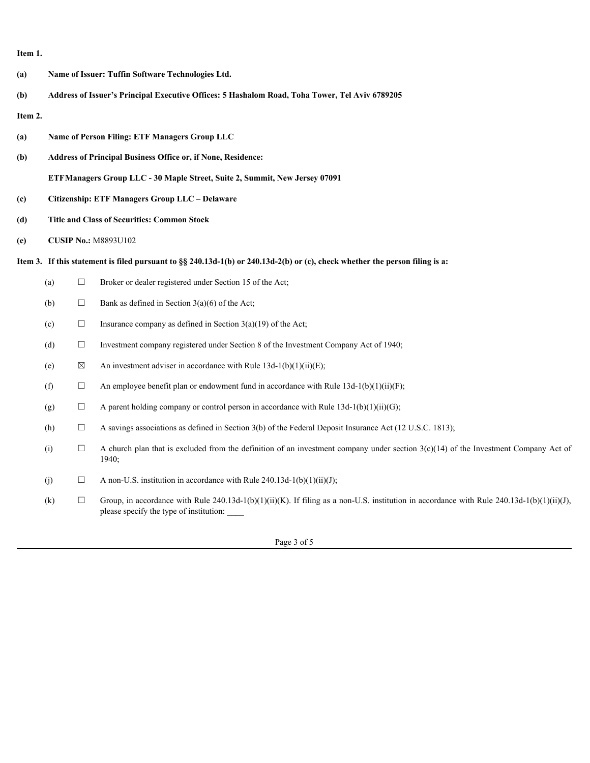**Item 1.**

**(a) Name of Issuer: Tuffin Software Technologies Ltd. (b) Address of Issuer's Principal Executive Offices: 5 Hashalom Road, Toha Tower, Tel Aviv 6789205 Item 2. (a) Name of Person Filing: ETF Managers Group LLC (b) Address of Principal Business Office or, if None, Residence: ETFManagers Group LLC - 30 Maple Street, Suite 2, Summit, New Jersey 07091 (c) Citizenship: ETF Managers Group LLC – Delaware (d) Title and Class of Securities: Common Stock (e) CUSIP No.:** M8893U102 **Item 3. If this statement is filed pursuant to §§ 240.13d-1(b) or 240.13d-2(b) or (c), check whether the person filing is a:** (a)  $\Box$  Broker or dealer registered under Section 15 of the Act; (b)  $\Box$  Bank as defined in Section 3(a)(6) of the Act; (c)  $\Box$  Insurance company as defined in Section 3(a)(19) of the Act; (d)  $\Box$  Investment company registered under Section 8 of the Investment Company Act of 1940; (e)  $\boxtimes$  An investment adviser in accordance with Rule 13d-1(b)(1)(ii)(E); (f)  $\Box$  An employee benefit plan or endowment fund in accordance with Rule 13d-1(b)(1)(ii)(F); (g)  $\Box$  A parent holding company or control person in accordance with Rule 13d-1(b)(1)(ii)(G); (h)  $\Box$  A savings associations as defined in Section 3(b) of the Federal Deposit Insurance Act (12 U.S.C. 1813); (i)  $\Box$  A church plan that is excluded from the definition of an investment company under section 3(c)(14) of the Investment Company Act of 1940; (j)  $\Box$  A non-U.S. institution in accordance with Rule 240.13d-1(b)(1)(ii)(J); (k)  $\Box$  Group, in accordance with Rule 240.13d-1(b)(1)(ii)(K). If filing as a non-U.S. institution in accordance with Rule 240.13d-1(b)(1)(ii)(J), please specify the type of institution: \_\_\_\_

Page 3 of 5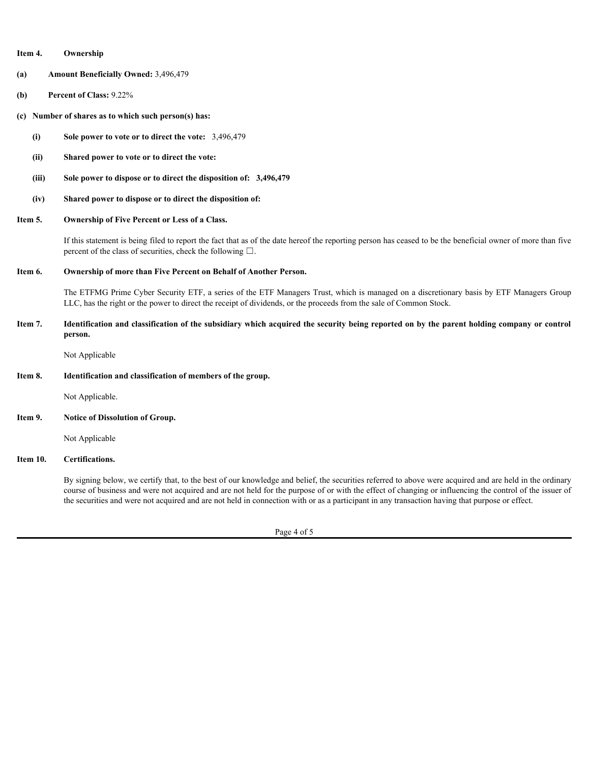| Item 4.<br>Ownership |
|----------------------|
|----------------------|

- **(a) Amount Beneficially Owned:** 3,496,479
- **(b) Percent of Class:** 9.22%
- **(c) Number of shares as to which such person(s) has:**
	- **(i) Sole power to vote or to direct the vote:**  3,496,479
	- **(ii) Shared power to vote or to direct the vote:**
	- **(iii) Sole power to dispose or to direct the disposition of: 3,496,479**
	- **(iv) Shared power to dispose or to direct the disposition of:**
- **Item 5. Ownership of Five Percent or Less of a Class.**

If this statement is being filed to report the fact that as of the date hereof the reporting person has ceased to be the beneficial owner of more than five percent of the class of securities, check the following  $\square$ .

**Item 6. Ownership of more than Five Percent on Behalf of Another Person.**

The ETFMG Prime Cyber Security ETF, a series of the ETF Managers Trust, which is managed on a discretionary basis by ETF Managers Group LLC, has the right or the power to direct the receipt of dividends, or the proceeds from the sale of Common Stock.

**Item 7. Identification and classification of the subsidiary which acquired the security being reported on by the parent holding company or control person.**

Not Applicable

**Item 8. Identification and classification of members of the group.**

Not Applicable.

**Item 9. Notice of Dissolution of Group.**

Not Applicable

**Item 10. Certifications.**

By signing below, we certify that, to the best of our knowledge and belief, the securities referred to above were acquired and are held in the ordinary course of business and were not acquired and are not held for the purpose of or with the effect of changing or influencing the control of the issuer of the securities and were not acquired and are not held in connection with or as a participant in any transaction having that purpose or effect.

Page 4 of 5